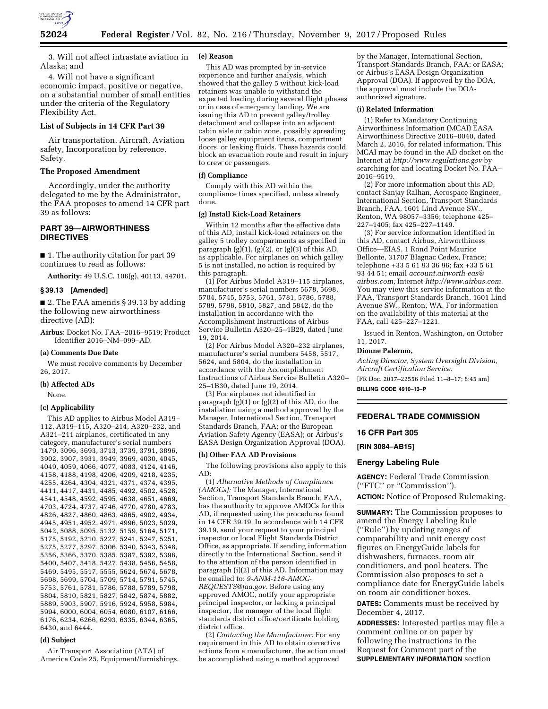

3. Will not affect intrastate aviation in Alaska; and

4. Will not have a significant economic impact, positive or negative, on a substantial number of small entities under the criteria of the Regulatory Flexibility Act.

## **List of Subjects in 14 CFR Part 39**

Air transportation, Aircraft, Aviation safety, Incorporation by reference, Safety.

# **The Proposed Amendment**

Accordingly, under the authority delegated to me by the Administrator, the FAA proposes to amend 14 CFR part 39 as follows:

## **PART 39—AIRWORTHINESS DIRECTIVES**

■ 1. The authority citation for part 39 continues to read as follows:

**Authority:** 49 U.S.C. 106(g), 40113, 44701.

## **§ 39.13 [Amended]**

■ 2. The FAA amends § 39.13 by adding the following new airworthiness directive (AD):

**Airbus:** Docket No. FAA–2016–9519; Product Identifier 2016–NM–099–AD.

## **(a) Comments Due Date**

We must receive comments by December 26, 2017.

#### **(b) Affected ADs**

None.

#### **(c) Applicability**

This AD applies to Airbus Model A319– 112, A319–115, A320–214, A320–232, and A321–211 airplanes, certificated in any category, manufacturer's serial numbers 1479, 3096, 3693, 3713, 3739, 3791, 3896, 3902, 3907, 3931, 3949, 3969, 4030, 4045, 4049, 4059, 4066, 4077, 4083, 4124, 4146, 4158, 4188, 4198, 4206, 4209, 4218, 4235, 4255, 4264, 4304, 4321, 4371, 4374, 4395, 4411, 4417, 4431, 4485, 4492, 4502, 4528, 4541, 4548, 4592, 4595, 4638, 4651, 4669, 4703, 4724, 4737, 4746, 4770, 4780, 4783, 4826, 4827, 4860, 4863, 4865, 4902, 4934, 4945, 4951, 4952, 4971, 4996, 5023, 5029, 5042, 5088, 5095, 5132, 5159, 5164, 5171, 5175, 5192, 5210, 5227, 5241, 5247, 5251, 5275, 5277, 5297, 5306, 5340, 5343, 5348, 5356, 5366, 5370, 5385, 5387, 5392, 5396, 5400, 5407, 5418, 5427, 5438, 5456, 5458, 5469, 5495, 5517, 5555, 5624, 5674, 5678, 5698, 5699, 5704, 5709, 5714, 5791, 5745, 5753, 5761, 5781, 5786, 5788, 5789, 5798, 5804, 5810, 5821, 5827, 5842, 5874, 5882, 5889, 5903, 5907, 5916, 5924, 5958, 5984, 5994, 6000, 6004, 6054, 6080, 6107, 6166, 6176, 6234, 6266, 6293, 6335, 6344, 6365, 6430, and 6444.

#### **(d) Subject**

Air Transport Association (ATA) of America Code 25, Equipment/furnishings.

## **(e) Reason**

This AD was prompted by in-service experience and further analysis, which showed that the galley 5 without kick-load retainers was unable to withstand the expected loading during several flight phases or in case of emergency landing. We are issuing this AD to prevent galley/trolley detachment and collapse into an adjacent cabin aisle or cabin zone, possibly spreading loose galley equipment items, compartment doors, or leaking fluids. These hazards could block an evacuation route and result in injury to crew or passengers.

#### **(f) Compliance**

Comply with this AD within the compliance times specified, unless already done.

#### **(g) Install Kick-Load Retainers**

Within 12 months after the effective date of this AD, install kick-load retainers on the galley 5 trolley compartments as specified in paragraph (g)(1), (g)(2), or (g)(3) of this AD, as applicable. For airplanes on which galley 5 is not installed, no action is required by this paragraph.

(1) For Airbus Model A319–115 airplanes, manufacturer's serial numbers 5678, 5698, 5704, 5745, 5753, 5761, 5781, 5786, 5788, 5789, 5798, 5810, 5827, and 5842, do the installation in accordance with the Accomplishment Instructions of Airbus Service Bulletin A320–25–1B29, dated June 19, 2014.

(2) For Airbus Model A320–232 airplanes, manufacturer's serial numbers 5458, 5517, 5624, and 5804, do the installation in accordance with the Accomplishment Instructions of Airbus Service Bulletin A320– 25–1B30, dated June 19, 2014.

(3) For airplanes not identified in paragraph (g)(1) or (g)(2) of this AD, do the installation using a method approved by the Manager, International Section, Transport Standards Branch, FAA; or the European Aviation Safety Agency (EASA); or Airbus's EASA Design Organization Approval (DOA).

#### **(h) Other FAA AD Provisions**

The following provisions also apply to this AD:

(1) *Alternative Methods of Compliance (AMOCs):* The Manager, International Section, Transport Standards Branch, FAA, has the authority to approve AMOCs for this AD, if requested using the procedures found in 14 CFR 39.19. In accordance with 14 CFR 39.19, send your request to your principal inspector or local Flight Standards District Office, as appropriate. If sending information directly to the International Section, send it to the attention of the person identified in paragraph (i)(2) of this AD. Information may be emailed to: *[9-ANM-116-AMOC-](mailto:9-ANM-116-AMOC-REQUESTS@faa.gov)[REQUESTS@faa.gov.](mailto:9-ANM-116-AMOC-REQUESTS@faa.gov)* Before using any approved AMOC, notify your appropriate principal inspector, or lacking a principal inspector, the manager of the local flight standards district office/certificate holding district office.

(2) *Contacting the Manufacturer:* For any requirement in this AD to obtain corrective actions from a manufacturer, the action must be accomplished using a method approved

by the Manager, International Section, Transport Standards Branch, FAA; or EASA; or Airbus's EASA Design Organization Approval (DOA). If approved by the DOA, the approval must include the DOAauthorized signature.

#### **(i) Related Information**

(1) Refer to Mandatory Continuing Airworthiness Information (MCAI) EASA Airworthiness Directive 2016–0040, dated March 2, 2016, for related information. This MCAI may be found in the AD docket on the Internet at *<http://www.regulations.gov>*by searching for and locating Docket No. FAA– 2016–9519.

(2) For more information about this AD, contact Sanjay Ralhan, Aerospace Engineer, International Section, Transport Standards Branch, FAA, 1601 Lind Avenue SW., Renton, WA 98057–3356; telephone 425– 227–1405; fax 425–227–1149.

(3) For service information identified in this AD, contact Airbus, Airworthiness Office—EIAS, 1 Rond Point Maurice Bellonte, 31707 Blagnac Cedex, France; telephone +33 5 61 93 36 96; fax +33 5 61 93 44 51; email *[account.airworth-eas@](mailto:account.airworth-eas@airbus.com) [airbus.com;](mailto:account.airworth-eas@airbus.com)* Internet *[http://www.airbus.com.](http://www.airbus.com)*  You may view this service information at the FAA, Transport Standards Branch, 1601 Lind Avenue SW., Renton, WA. For information on the availability of this material at the FAA, call 425–227–1221.

Issued in Renton, Washington, on October 11, 2017.

#### **Dionne Palermo,**

*Acting Director, System Oversight Division, Aircraft Certification Service.* 

[FR Doc. 2017–22556 Filed 11–8–17; 8:45 am]

**BILLING CODE 4910–13–P** 

# **FEDERAL TRADE COMMISSION**

## **16 CFR Part 305**

**[RIN 3084–AB15]** 

# **Energy Labeling Rule**

**AGENCY:** Federal Trade Commission (''FTC'' or ''Commission''). **ACTION:** Notice of Proposed Rulemaking.

**SUMMARY:** The Commission proposes to amend the Energy Labeling Rule (''Rule'') by updating ranges of comparability and unit energy cost figures on EnergyGuide labels for dishwashers, furnaces, room air conditioners, and pool heaters. The Commission also proposes to set a compliance date for EnergyGuide labels on room air conditioner boxes.

**DATES:** Comments must be received by December 4, 2017.

**ADDRESSES:** Interested parties may file a comment online or on paper by following the instructions in the Request for Comment part of the **SUPPLEMENTARY INFORMATION** section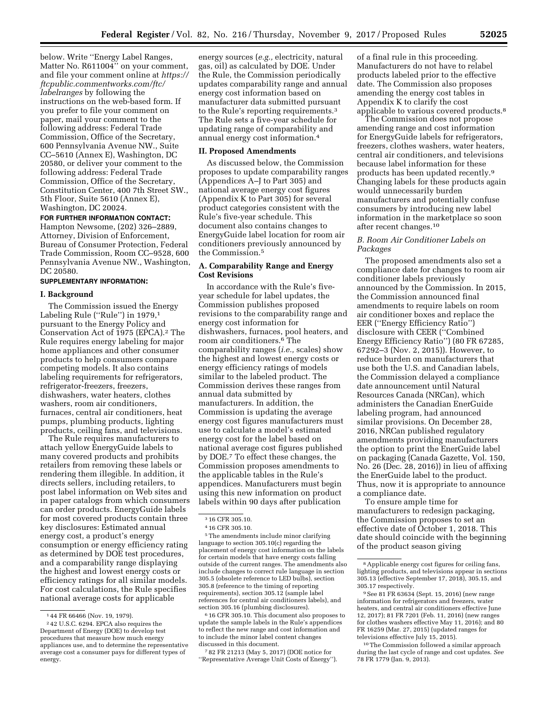below. Write ''Energy Label Ranges, Matter No. R611004'' on your comment, and file your comment online at *[https://](https://ftcpublic.commentworks.com/ftc/labelranges)  [ftcpublic.commentworks.com/ftc/](https://ftcpublic.commentworks.com/ftc/labelranges)  [labelranges](https://ftcpublic.commentworks.com/ftc/labelranges)* by following the instructions on the web-based form. If you prefer to file your comment on paper, mail your comment to the following address: Federal Trade Commission, Office of the Secretary, 600 Pennsylvania Avenue NW., Suite CC–5610 (Annex E), Washington, DC 20580, or deliver your comment to the

following address: Federal Trade Commission, Office of the Secretary, Constitution Center, 400 7th Street SW., 5th Floor, Suite 5610 (Annex E), Washington, DC 20024.

## **FOR FURTHER INFORMATION CONTACT:**

Hampton Newsome, (202) 326–2889, Attorney, Division of Enforcement, Bureau of Consumer Protection, Federal Trade Commission, Room CC–9528, 600 Pennsylvania Avenue NW., Washington, DC 20580.

## **SUPPLEMENTARY INFORMATION:**

## **I. Background**

The Commission issued the Energy Labeling Rule ("Rule") in 1979,<sup>1</sup> pursuant to the Energy Policy and Conservation Act of 1975 (EPCA).2 The Rule requires energy labeling for major home appliances and other consumer products to help consumers compare competing models. It also contains labeling requirements for refrigerators, refrigerator-freezers, freezers, dishwashers, water heaters, clothes washers, room air conditioners, furnaces, central air conditioners, heat pumps, plumbing products, lighting products, ceiling fans, and televisions.

The Rule requires manufacturers to attach yellow EnergyGuide labels to many covered products and prohibits retailers from removing these labels or rendering them illegible. In addition, it directs sellers, including retailers, to post label information on Web sites and in paper catalogs from which consumers can order products. EnergyGuide labels for most covered products contain three key disclosures: Estimated annual energy cost, a product's energy consumption or energy efficiency rating as determined by DOE test procedures, and a comparability range displaying the highest and lowest energy costs or efficiency ratings for all similar models. For cost calculations, the Rule specifies national average costs for applicable

energy sources (*e.g.,* electricity, natural gas, oil) as calculated by DOE. Under the Rule, the Commission periodically updates comparability range and annual energy cost information based on manufacturer data submitted pursuant to the Rule's reporting requirements.3 The Rule sets a five-year schedule for updating range of comparability and annual energy cost information.4

## **II. Proposed Amendments**

As discussed below, the Commission proposes to update comparability ranges (Appendices A–J to Part 305) and national average energy cost figures (Appendix K to Part 305) for several product categories consistent with the Rule's five-year schedule. This document also contains changes to EnergyGuide label location for room air conditioners previously announced by the Commission.5

## **A. Comparability Range and Energy Cost Revisions**

In accordance with the Rule's fiveyear schedule for label updates, the Commission publishes proposed revisions to the comparability range and energy cost information for dishwashers, furnaces, pool heaters, and room air conditioners.6 The comparability ranges (*i.e.,* scales) show the highest and lowest energy costs or energy efficiency ratings of models similar to the labeled product. The Commission derives these ranges from annual data submitted by manufacturers. In addition, the Commission is updating the average energy cost figures manufacturers must use to calculate a model's estimated energy cost for the label based on national average cost figures published by DOE.7 To effect these changes, the Commission proposes amendments to the applicable tables in the Rule's appendices. Manufacturers must begin using this new information on product labels within 90 days after publication

5The amendments include minor clarifying language to section 305.10(c) regarding the placement of energy cost information on the labels for certain models that have energy costs falling outside of the current ranges. The amendments also include changes to correct rule language in section 305.5 (obsolete reference to LED bulbs), section 305.8 (reference to the timing of reporting requirements), section 305.12 (sample label references for central air conditioners labels), and section 305.16 (plumbing disclosures).

6 16 CFR 305.10. This document also proposes to update the sample labels in the Rule's appendices to reflect the new range and cost information and to include the minor label content changes discussed in this document.

7 82 FR 21213 (May 5, 2017) (DOE notice for ''Representative Average Unit Costs of Energy'').

of a final rule in this proceeding. Manufacturers do not have to relabel products labeled prior to the effective date. The Commission also proposes amending the energy cost tables in Appendix K to clarify the cost applicable to various covered products.8

The Commission does not propose amending range and cost information for EnergyGuide labels for refrigerators, freezers, clothes washers, water heaters, central air conditioners, and televisions because label information for these products has been updated recently.9 Changing labels for these products again would unnecessarily burden manufacturers and potentially confuse consumers by introducing new label information in the marketplace so soon after recent changes.10

# *B. Room Air Conditioner Labels on Packages*

The proposed amendments also set a compliance date for changes to room air conditioner labels previously announced by the Commission. In 2015, the Commission announced final amendments to require labels on room air conditioner boxes and replace the EER (''Energy Efficiency Ratio'') disclosure with CEER (''Combined Energy Efficiency Ratio'') (80 FR 67285, 67292–3 (Nov. 2, 2015)). However, to reduce burden on manufacturers that use both the U.S. and Canadian labels, the Commission delayed a compliance date announcement until Natural Resources Canada (NRCan), which administers the Canadian EnerGuide labeling program, had announced similar provisions. On December 28, 2016, NRCan published regulatory amendments providing manufacturers the option to print the EnerGuide label on packaging (Canada Gazette, Vol. 150, No. 26 (Dec. 28, 2016)) in lieu of affixing the EnerGuide label to the product. Thus, now it is appropriate to announce a compliance date.

To ensure ample time for manufacturers to redesign packaging, the Commission proposes to set an effective date of October 1, 2018. This date should coincide with the beginning of the product season giving

10The Commission followed a similar approach during the last cycle of range and cost updates. *See*  78 FR 1779 (Jan. 9, 2013).

<sup>1</sup> 44 FR 66466 (Nov. 19, 1979).

<sup>2</sup> 42 U.S.C. 6294. EPCA also requires the Department of Energy (DOE) to develop test procedures that measure how much energy appliances use, and to determine the representative average cost a consumer pays for different types of energy.

<sup>3</sup> 16 CFR 305.10.

<sup>4</sup> 16 CFR 305.10.

<sup>8</sup>Applicable energy cost figures for ceiling fans, lighting products, and televisions appear in sections 305.13 (effective September 17, 2018), 305.15, and 305.17 respectively.

<sup>9</sup>See 81 FR 63634 (Sept. 15, 2016) (new range information for refrigerators and freezers, water heaters, and central air conditioners effective June 12, 2017); 81 FR 7201 (Feb. 11, 2016) (new ranges for clothes washers effective May 11, 2016); and 80 FR 16259 (Mar. 27, 2015) (updated ranges for televisions effective July 15, 2015).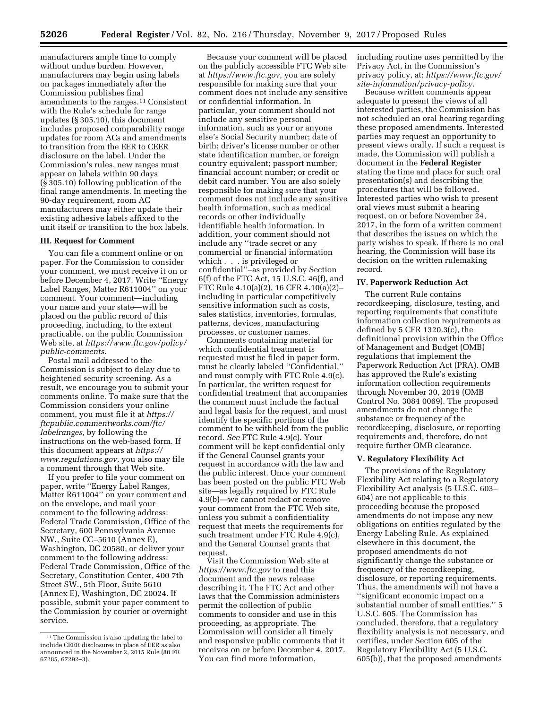manufacturers ample time to comply without undue burden. However, manufacturers may begin using labels on packages immediately after the Commission publishes final amendments to the ranges.11 Consistent with the Rule's schedule for range updates (§ 305.10), this document includes proposed comparability range updates for room ACs and amendments to transition from the EER to CEER disclosure on the label. Under the Commission's rules, new ranges must appear on labels within 90 days (§ 305.10) following publication of the final range amendments. In meeting the 90-day requirement, room AC manufacturers may either update their existing adhesive labels affixed to the unit itself or transition to the box labels.

## **III. Request for Comment**

You can file a comment online or on paper. For the Commission to consider your comment, we must receive it on or before December 4, 2017. Write ''Energy Label Ranges, Matter R611004'' on your comment. Your comment—including your name and your state—will be placed on the public record of this proceeding, including, to the extent practicable, on the public Commission Web site, at *[https://www.ftc.gov/policy/](https://www.ftc.gov/policy/public-comments) [public-comments.](https://www.ftc.gov/policy/public-comments)* 

Postal mail addressed to the Commission is subject to delay due to heightened security screening. As a result, we encourage you to submit your comments online. To make sure that the Commission considers your online comment, you must file it at *[https://](https://ftcpublic.commentworks.com/ftc/labelranges) [ftcpublic.commentworks.com/ftc/](https://ftcpublic.commentworks.com/ftc/labelranges)  [labelranges,](https://ftcpublic.commentworks.com/ftc/labelranges)* by following the instructions on the web-based form. If this document appears at *[https://](https://www.regulations.gov) [www.regulations.gov,](https://www.regulations.gov)* you also may file a comment through that Web site.

If you prefer to file your comment on paper, write ''Energy Label Ranges, Matter R611004'' on your comment and on the envelope, and mail your comment to the following address: Federal Trade Commission, Office of the Secretary, 600 Pennsylvania Avenue NW., Suite CC–5610 (Annex E), Washington, DC 20580, or deliver your comment to the following address: Federal Trade Commission, Office of the Secretary, Constitution Center, 400 7th Street SW., 5th Floor, Suite 5610 (Annex E), Washington, DC 20024. If possible, submit your paper comment to the Commission by courier or overnight service.

Because your comment will be placed on the publicly accessible FTC Web site at *[https://www.ftc.gov,](https://www.ftc.gov)* you are solely responsible for making sure that your comment does not include any sensitive or confidential information. In particular, your comment should not include any sensitive personal information, such as your or anyone else's Social Security number; date of birth; driver's license number or other state identification number, or foreign country equivalent; passport number; financial account number; or credit or debit card number. You are also solely responsible for making sure that your comment does not include any sensitive health information, such as medical records or other individually identifiable health information. In addition, your comment should not include any ''trade secret or any commercial or financial information which . . . is privileged or confidential''–as provided by Section 6(f) of the FTC Act, 15 U.S.C. 46(f), and FTC Rule 4.10(a)(2), 16 CFR 4.10(a)(2)– including in particular competitively sensitive information such as costs, sales statistics, inventories, formulas, patterns, devices, manufacturing processes, or customer names.

Comments containing material for which confidential treatment is requested must be filed in paper form, must be clearly labeled ''Confidential,'' and must comply with FTC Rule 4.9(c). In particular, the written request for confidential treatment that accompanies the comment must include the factual and legal basis for the request, and must identify the specific portions of the comment to be withheld from the public record. *See* FTC Rule 4.9(c). Your comment will be kept confidential only if the General Counsel grants your request in accordance with the law and the public interest. Once your comment has been posted on the public FTC Web site—as legally required by FTC Rule 4.9(b)—we cannot redact or remove your comment from the FTC Web site, unless you submit a confidentiality request that meets the requirements for such treatment under FTC Rule 4.9(c), and the General Counsel grants that request.

Visit the Commission Web site at *<https://www.ftc.gov>*to read this document and the news release describing it. The FTC Act and other laws that the Commission administers permit the collection of public comments to consider and use in this proceeding, as appropriate. The Commission will consider all timely and responsive public comments that it receives on or before December 4, 2017. You can find more information,

including routine uses permitted by the Privacy Act, in the Commission's privacy policy, at: *[https://www.ftc.gov/](https://www.ftc.gov/site-information/privacy-policy) [site-information/privacy-policy.](https://www.ftc.gov/site-information/privacy-policy)* 

Because written comments appear adequate to present the views of all interested parties, the Commission has not scheduled an oral hearing regarding these proposed amendments. Interested parties may request an opportunity to present views orally. If such a request is made, the Commission will publish a document in the **Federal Register**  stating the time and place for such oral presentation(s) and describing the procedures that will be followed. Interested parties who wish to present oral views must submit a hearing request, on or before November 24, 2017, in the form of a written comment that describes the issues on which the party wishes to speak. If there is no oral hearing, the Commission will base its decision on the written rulemaking record.

### **IV. Paperwork Reduction Act**

The current Rule contains recordkeeping, disclosure, testing, and reporting requirements that constitute information collection requirements as defined by 5 CFR 1320.3(c), the definitional provision within the Office of Management and Budget (OMB) regulations that implement the Paperwork Reduction Act (PRA). OMB has approved the Rule's existing information collection requirements through November 30, 2019 (OMB Control No. 3084 0069). The proposed amendments do not change the substance or frequency of the recordkeeping, disclosure, or reporting requirements and, therefore, do not require further OMB clearance.

### **V. Regulatory Flexibility Act**

The provisions of the Regulatory Flexibility Act relating to a Regulatory Flexibility Act analysis (5 U.S.C. 603– 604) are not applicable to this proceeding because the proposed amendments do not impose any new obligations on entities regulated by the Energy Labeling Rule. As explained elsewhere in this document, the proposed amendments do not significantly change the substance or frequency of the recordkeeping, disclosure, or reporting requirements. Thus, the amendments will not have a ''significant economic impact on a substantial number of small entities.'' 5 U.S.C. 605. The Commission has concluded, therefore, that a regulatory flexibility analysis is not necessary, and certifies, under Section 605 of the Regulatory Flexibility Act (5 U.S.C. 605(b)), that the proposed amendments

<sup>11</sup>The Commission is also updating the label to include CEER disclosures in place of EER as also announced in the November 2, 2015 Rule (80 FR 67285, 67292–3).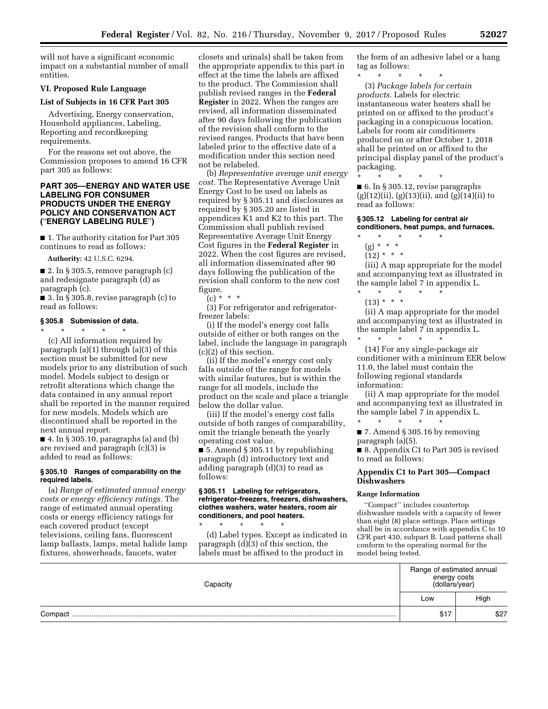will not have a significant economic impact on a substantial number of small entities.

# **VI. Proposed Rule Language**

## **List of Subjects in 16 CFR Part 305**

Advertising, Energy conservation, Household appliances, Labeling, Reporting and recordkeeping requirements.

For the reasons set out above, the Commission proposes to amend 16 CFR part 305 as follows:

# **PART 305—ENERGY AND WATER USE LABELING FOR CONSUMER PRODUCTS UNDER THE ENERGY POLICY AND CONSERVATION ACT (**''**ENERGY LABELING RULE**''**)**

■ 1. The authority citation for Part 305 continues to read as follows:

**Authority:** 42 U.S.C. 6294.

 $\blacksquare$  2. In § 305.5, remove paragraph (c) and redesignate paragraph (d) as paragraph (c).

 $\blacksquare$  3. In § 305.8, revise paragraph (c) to read as follows:

### **§ 305.8 Submission of data.**

next annual report.

\* \* \* \* \* (c) All information required by paragraph (a)(1) through (a)(3) of this section must be submitted for new models prior to any distribution of such model. Models subject to design or retrofit alterations which change the data contained in any annual report shall be reported in the manner required for new models. Models which are discontinued shall be reported in the

 $\blacksquare$  4. In § 305.10, paragraphs (a) and (b) are revised and paragraph (c)(3) is added to read as follows:

## **§ 305.10 Ranges of comparability on the required labels.**

(a) *Range of estimated annual energy costs or energy efficiency ratings.* The range of estimated annual operating costs or energy efficiency ratings for each covered product (except televisions, ceiling fans, fluorescent lamp ballasts, lamps, metal halide lamp fixtures, showerheads, faucets, water

closets and urinals) shall be taken from the appropriate appendix to this part in effect at the time the labels are affixed to the product. The Commission shall publish revised ranges in the **Federal Register** in 2022. When the ranges are revised, all information disseminated after 90 days following the publication of the revision shall conform to the revised ranges. Products that have been labeled prior to the effective date of a modification under this section need not be relabeled.

(b) *Representative average unit energy cost.* The Representative Average Unit Energy Cost to be used on labels as required by § 305.11 and disclosures as required by § 305.20 are listed in appendices K1 and K2 to this part. The Commission shall publish revised Representative Average Unit Energy Cost figures in the **Federal Register** in 2022. When the cost figures are revised, all information disseminated after 90 days following the publication of the revision shall conform to the new cost figure.

(c) \* \* \*

(3) For refrigerator and refrigeratorfreezer labels:

(i) If the model's energy cost falls outside of either or both ranges on the label, include the language in paragraph (c)(2) of this section.

(ii) If the model's energy cost only falls outside of the range for models with similar features, but is within the range for all models, include the product on the scale and place a triangle below the dollar value.

(iii) If the model's energy cost falls outside of both ranges of comparability, omit the triangle beneath the yearly operating cost value.

■ 5. Amend § 305.11 by republishing paragraph (d) introductory text and adding paragraph (d)(3) to read as follows:

## **§ 305.11 Labeling for refrigerators, refrigerator-freezers, freezers, dishwashers, clothes washers, water heaters, room air conditioners, and pool heaters.**

\* \* \* \* \* (d) Label types. Except as indicated in paragraph (d)(3) of this section, the labels must be affixed to the product in

the form of an adhesive label or a hang tag as follows:

\* \* \* \* \* (3) *Package labels for certain products.* Labels for electric instantaneous water heaters shall be printed on or affixed to the product's packaging in a conspicuous location. Labels for room air conditioners produced on or after October 1, 2018 shall be printed on or affixed to the principal display panel of the product's

\* \* \* \* \*

packaging.

■ 6. In § 305.12, revise paragraphs  $(g)(12)(ii)$ ,  $(g)(13)(ii)$ , and  $(g)(14)(ii)$  to read as follows:

## **§ 305.12 Labeling for central air conditioners, heat pumps, and furnaces.**

- \* \* \* \* \*
	- (g) \* \* \*  $(12) * * * *$

(iii) A map appropriate for the model and accompanying text as illustrated in the sample label 7 in appendix L.

\* \* \* \* \*  $(13) * * * *$ 

(ii) A map appropriate for the model and accompanying text as illustrated in the sample label 7 in appendix L.

\* \* \* \* \* (14) For any single-package air conditioner with a minimum EER below 11.0, the label must contain the following regional standards information:

(ii) A map appropriate for the model and accompanying text as illustrated in the sample label 7 in appendix L. \* \* \* \* \*

■ 7. Amend § 305.16 by removing paragraph (a)(5).

■ 8. Appendix C1 to Part 305 is revised to read as follows:

## **Appendix C1 to Part 305—Compact Dishwashers**

#### **Range Information**

''Compact'' includes countertop dishwasher models with a capacity of fewer than eight (8) place settings. Place settings shall be in accordance with appendix C to 10 CFR part 430, subpart B. Load patterns shall conform to the operating normal for the model being tested.

| Capacitv | Range of estimated annual<br>energy costs<br>(dollars/year) |      |
|----------|-------------------------------------------------------------|------|
|          | Low                                                         | High |
| Compact  | <b>CH-</b><br>১৷                                            | \$27 |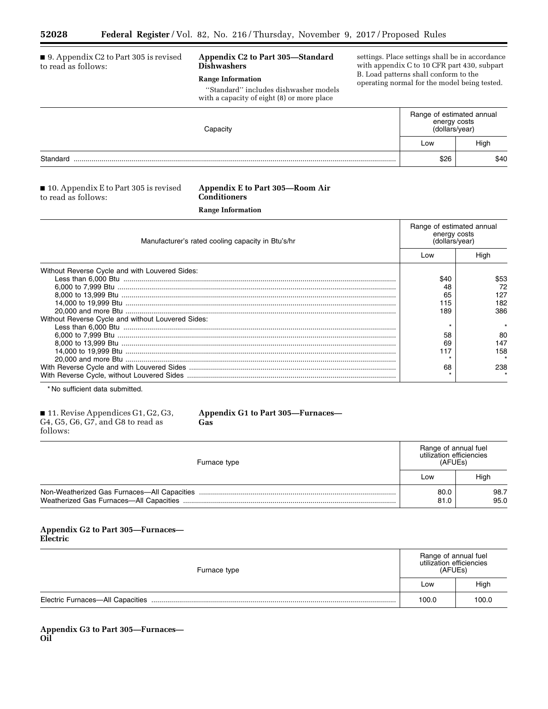Ξ

#### ■ 9. Appendix C2 to Part 305 is revised to read as follows: **Appendix C2 to Part 305—Standard Dishwashers Range Information**  ''Standard'' includes dishwasher models with a capacity of eight (8) or more place settings. Place settings shall be in accordance with appendix C to 10 CFR part 430, subpart B. Load patterns shall conform to the operating normal for the model being tested. **Capacity** Range of estimated annual energy costs (dollars/year) Low | High Standard .................................................................................................................................................................. \$26 \$40

# ■ 10. Appendix E to Part 305 is revised to read as follows:

# **Appendix E to Part 305—Room Air Conditioners**

**Range Information** 

| Manufacturer's rated cooling capacity in Btu's/hr | Range of estimated annual<br>energy costs<br>(dollars/year) |      |
|---------------------------------------------------|-------------------------------------------------------------|------|
|                                                   | Low                                                         | Hiah |
| Without Reverse Cycle and with Louvered Sides:    |                                                             |      |
|                                                   | \$40                                                        | \$53 |
|                                                   | 48                                                          | 72   |
|                                                   | 65                                                          | 127  |
|                                                   | 115                                                         | 182  |
|                                                   | 189                                                         | 386  |
| Without Reverse Cycle and without Louvered Sides: |                                                             |      |
|                                                   |                                                             |      |
|                                                   | 58                                                          | 80   |
|                                                   | 69                                                          | 147  |
|                                                   |                                                             | 158  |
|                                                   |                                                             |      |
|                                                   | 68                                                          | 238  |
|                                                   |                                                             |      |

\* No sufficient data submitted.

| $\blacksquare$ 11. Revise Appendices G1, G2, G3, |  |
|--------------------------------------------------|--|
| G4, G5, G6, G7, and G8 to read as                |  |
| follows:                                         |  |

# **Appendix G1 to Part 305—Furnaces— Gas**

| Furnace type | Range of annual fuel<br>utilization efficiencies<br>(AFUEs) |              |
|--------------|-------------------------------------------------------------|--------------|
|              | Low                                                         | High         |
|              | 80.0<br>81.0                                                | 98.7<br>95.0 |

# **Appendix G2 to Part 305—Furnaces— Electric**

| Furnace type | Range of annual fuel<br>utilization efficiencies<br>(AFUEs) |       |
|--------------|-------------------------------------------------------------|-------|
|              |                                                             | High  |
|              | 100.0                                                       | 100.0 |

**Appendix G3 to Part 305—Furnaces— Oil**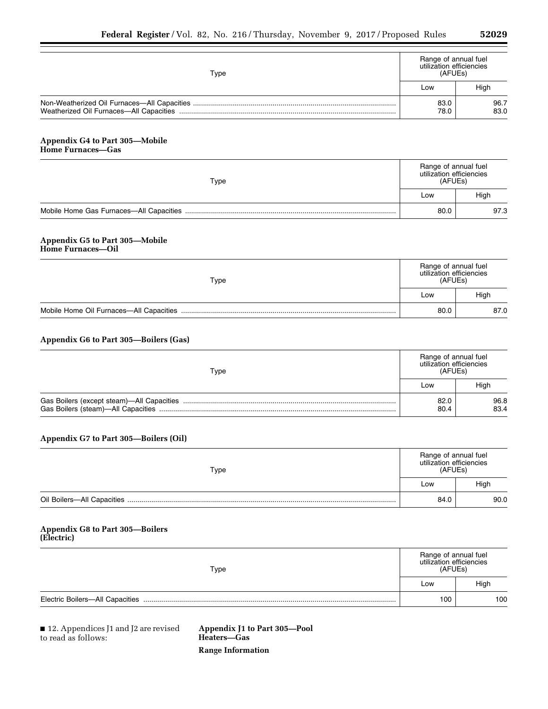| "<br>e.<br>r i |  |
|----------------|--|
|----------------|--|

| Type                                                                      | Range of annual fuel<br>utilization efficiencies<br>(AFUEs) |              |
|---------------------------------------------------------------------------|-------------------------------------------------------------|--------------|
|                                                                           | Low                                                         | High         |
|                                                                           | 83.0<br>78.0                                                | 96.7<br>83.0 |
| <b>Appendix G4 to Part 305-Mobile</b><br><b>Home Furnaces-Gas</b>         |                                                             |              |
| Type                                                                      | Range of annual fuel<br>utilization efficiencies<br>(AFUEs) |              |
|                                                                           | Low                                                         | High         |
|                                                                           | 80.0                                                        | 97.3         |
| <b>Appendix G5 to Part 305-Mobile</b><br><b>Home Furnaces-Oil</b><br>Type | Range of annual fuel<br>utilization efficiencies<br>(AFUEs) |              |
|                                                                           | Low                                                         | High         |
|                                                                           | 80.0                                                        | 87.0         |
| Appendix G6 to Part 305-Boilers (Gas)<br>Type                             | Range of annual fuel<br>utilization efficiencies<br>(AFUEs) |              |
|                                                                           | Low                                                         | High         |
|                                                                           | 82.0<br>80.4                                                | 96.8<br>83.4 |
| Appendix G7 to Part 305-Boilers (Oil)                                     |                                                             |              |
| Type                                                                      | Range of annual fuel<br>utilization efficiencies<br>(AFUEs) |              |
|                                                                           | Low                                                         | High         |
|                                                                           | 84.0                                                        | 90.0         |
| <b>Appendix G8 to Part 305-Boilers</b><br>(Electric)                      |                                                             |              |
| Type                                                                      | Range of annual fuel<br>utilization efficiencies<br>(AFUEs) |              |
|                                                                           | Low                                                         | High         |
|                                                                           | 100                                                         | 100          |

■ 12. Appendices J1 and J2 are revised to read as follows:

**Appendix J1 to Part 305—Pool Heaters—Gas Range Information**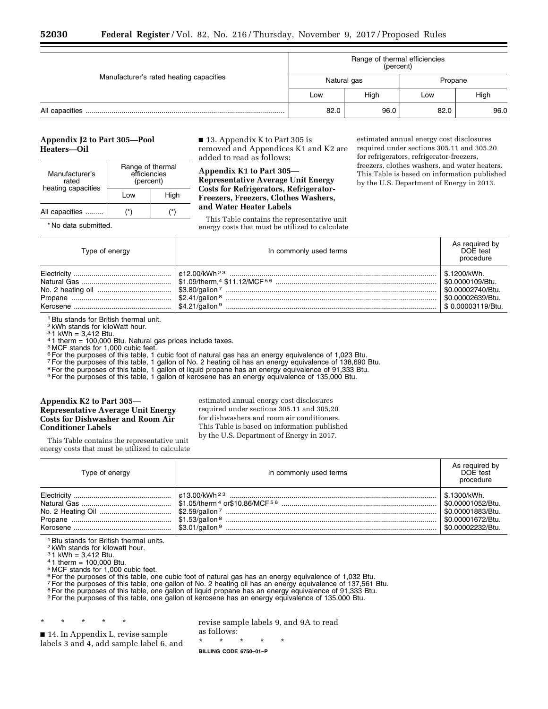|                                         | Range of thermal efficiencies<br>(percent) |             |         |      |
|-----------------------------------------|--------------------------------------------|-------------|---------|------|
| Manufacturer's rated heating capacities |                                            | Natural gas | Propane |      |
|                                         | Low                                        | High        | Low     | High |
|                                         | 82.0                                       | 96.0        | 82.0    | 96.0 |

# **Appendix J2 to Part 305—Pool Heaters—Oil**

| Manufacturer's<br>rated<br>heating capacities | Range of thermal<br>efficiencies<br>(percent) |      |  |
|-----------------------------------------------|-----------------------------------------------|------|--|
|                                               | l ow                                          | High |  |
| All capacities                                |                                               |      |  |

\* No data submitted.

■ 13. Appendix K to Part 305 is removed and Appendices K1 and K2 are added to read as follows:

**Appendix K1 to Part 305— Representative Average Unit Energy Costs for Refrigerators, Refrigerator-Freezers, Freezers, Clothes Washers, and Water Heater Labels** 

This Table contains the representative unit energy costs that must be utilized to calculate

estimated annual energy cost disclosures required under sections 305.11 and 305.20 for refrigerators, refrigerator-freezers, freezers, clothes washers, and water heaters. This Table is based on information published by the U.S. Department of Energy in 2013.

| Type of energy | In commonly used terms                                                  | As required by<br>DOF test<br>procedure                                                                     |
|----------------|-------------------------------------------------------------------------|-------------------------------------------------------------------------------------------------------------|
|                | │ \$1.09/therm.4 \$11.12/MCF <sup>5 6</sup> ……………………………………………………………………… | 5.1200/kWh.<br>\$0.0000109/Btu.<br>\$0.00002740/Btu.<br><sup>1</sup> \$0.00002639/Btu.<br>\$0.00003119/Btu. |

<sup>1</sup> Btu stands for British thermal unit.

2 kWh stands for kiloWatt hour.

 $31$  kWh = 3,412 Btu.

 $41$  therm = 100,000 Btu. Natural gas prices include taxes.

5 MCF stands for 1,000 cubic feet.

<sup>6</sup> For the purposes of this table, 1 cubic foot of natural gas has an energy equivalence of 1,023 Btu.

7For the purposes of this table, 1 gallon of No. 2 heating oil has an energy equivalence of 138,690 Btu.

<sup>8</sup> For the purposes of this table, 1 gallon of liquid propane has an energy equivalence of 91,333 Btu.

9For the purposes of this table, 1 gallon of kerosene has an energy equivalence of 135,000 Btu.

## **Appendix K2 to Part 305— Representative Average Unit Energy Costs for Dishwasher and Room Air Conditioner Labels**

estimated annual energy cost disclosures required under sections 305.11 and 305.20 for dishwashers and room air conditioners. This Table is based on information published by the U.S. Department of Energy in 2017.

This Table contains the representative unit energy costs that must be utilized to calculate

| Type of energy | In commonly used terms | As required by<br>DOE test<br>procedure                                                         |
|----------------|------------------------|-------------------------------------------------------------------------------------------------|
|                |                        | \$.1300/kWh.<br>\$0.00001052/Btu.<br>50.00001883/Btu.<br>\$0.00001672/Btu.<br>\$0.00002232/Btu. |

<sup>1</sup> Btu stands for British thermal units.

2 kWh stands for kilowatt hour.

3 1 kWh = 3,412 Btu.

 $41$  therm = 100,000 Btu.

5 MCF stands for 1,000 cubic feet.

<sup>6</sup> For the purposes of this table, one cubic foot of natural gas has an energy equivalence of 1,032 Btu.

7For the purposes of this table, one gallon of No. 2 heating oil has an energy equivalence of 137,561 Btu.

<sup>8</sup> For the purposes of this table, one gallon of liquid propane has an energy equivalence of 91,333 Btu.

9 For the purposes of this table, one gallon of kerosene has an energy equivalence of 135,000 Btu.

\* \* \* \* \*

■ 14. In Appendix L, revise sample labels 3 and 4, add sample label 6, and revise sample labels 9, and 9A to read as follows:

\* \* \* \* \*

**BILLING CODE 6750–01–P**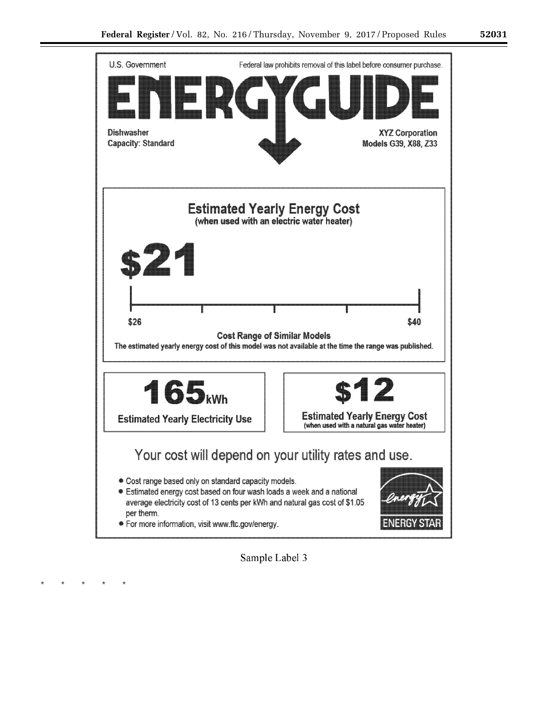

**Sample Label** 3

\* \* \* \* \*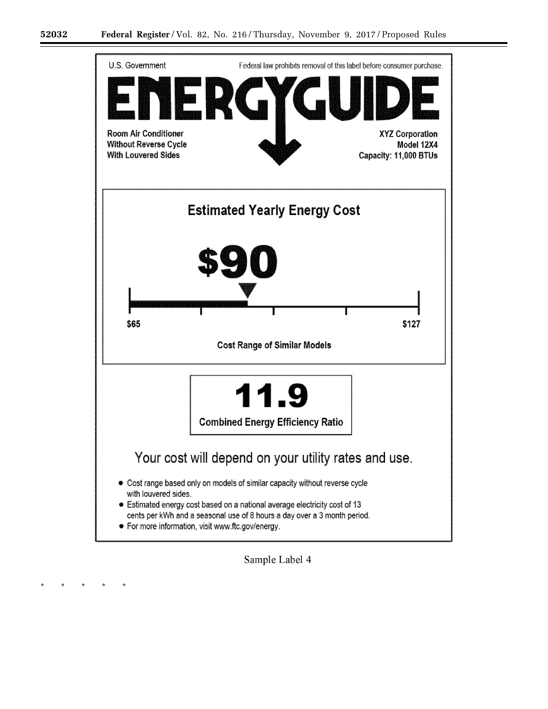\* \* \* \* \*



Sample Label 4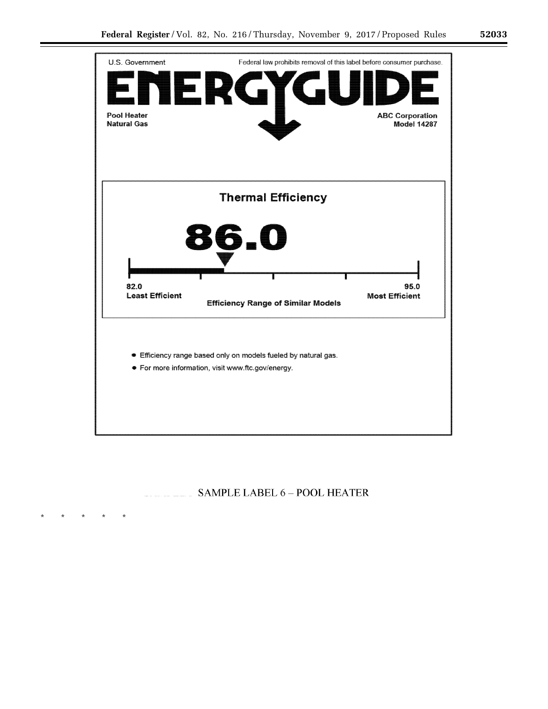

# SAMPLE LABEL 6 - POOL HEATER

\* \* \* \* \*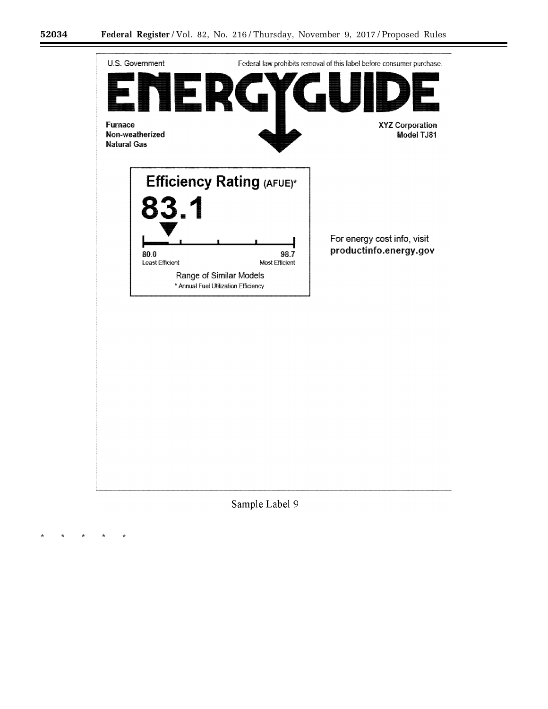۳

\* \* \* \* \*



Sample Label 9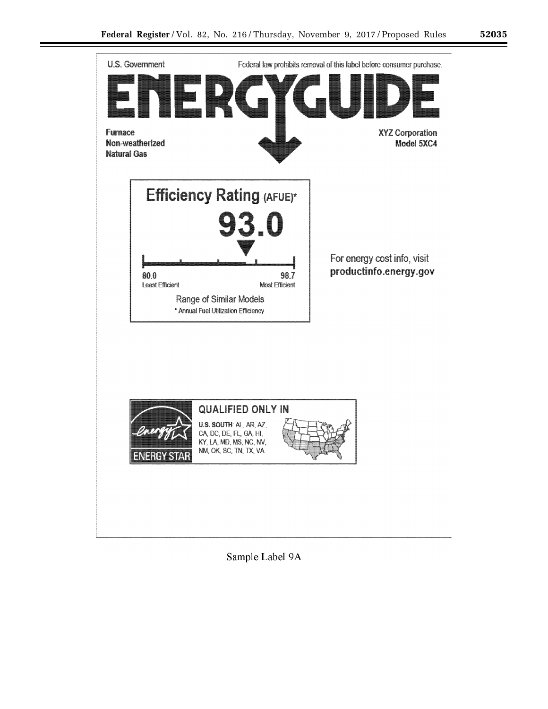



Sample Label 9A

۰